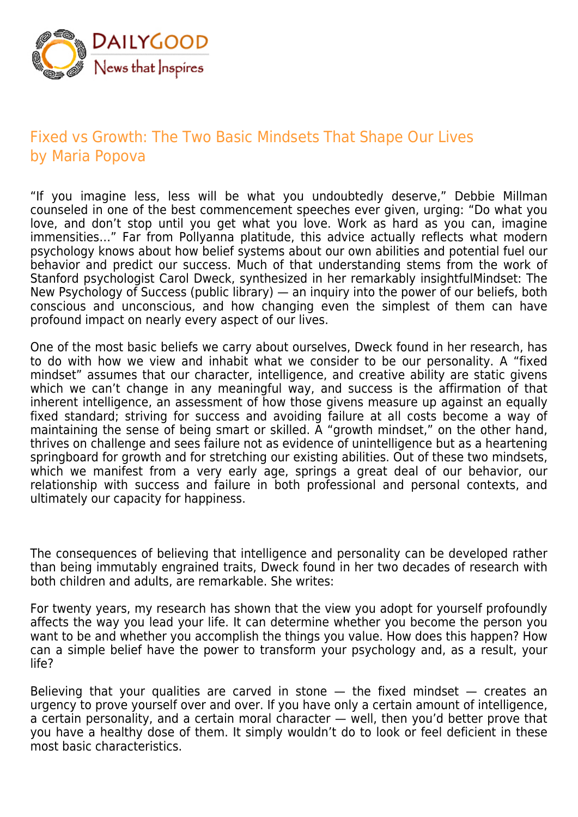

## Fixed vs Growth: The Two Basic Mindsets That Shape Our Lives by Maria Popova

"If you imagine less, less will be what you undoubtedly deserve," Debbie Millman counseled in one of the best commencement speeches ever given, urging: "Do what you love, and don't stop until you get what you love. Work as hard as you can, imagine immensities…" Far from Pollyanna platitude, this advice actually reflects what modern psychology knows about how belief systems about our own abilities and potential fuel our behavior and predict our success. Much of that understanding stems from the work of Stanford psychologist Carol Dweck, synthesized in her remarkably insightfulMindset: The New Psychology of Success (public library) — an inquiry into the power of our beliefs, both conscious and unconscious, and how changing even the simplest of them can have profound impact on nearly every aspect of our lives.

One of the most basic beliefs we carry about ourselves, Dweck found in her research, has to do with how we view and inhabit what we consider to be our personality. A "fixed mindset" assumes that our character, intelligence, and creative ability are static givens which we can't change in any meaningful way, and success is the affirmation of that inherent intelligence, an assessment of how those givens measure up against an equally fixed standard; striving for success and avoiding failure at all costs become a way of maintaining the sense of being smart or skilled. A "growth mindset," on the other hand, thrives on challenge and sees failure not as evidence of unintelligence but as a heartening springboard for growth and for stretching our existing abilities. Out of these two mindsets, which we manifest from a very early age, springs a great deal of our behavior, our relationship with success and failure in both professional and personal contexts, and ultimately our capacity for happiness.

The consequences of believing that intelligence and personality can be developed rather than being immutably engrained traits, Dweck found in her two decades of research with both children and adults, are remarkable. She writes:

For twenty years, my research has shown that the view you adopt for yourself profoundly affects the way you lead your life. It can determine whether you become the person you want to be and whether you accomplish the things you value. How does this happen? How can a simple belief have the power to transform your psychology and, as a result, your life?

Believing that your qualities are carved in stone  $-$  the fixed mindset  $-$  creates an urgency to prove yourself over and over. If you have only a certain amount of intelligence, a certain personality, and a certain moral character — well, then you'd better prove that you have a healthy dose of them. It simply wouldn't do to look or feel deficient in these most basic characteristics.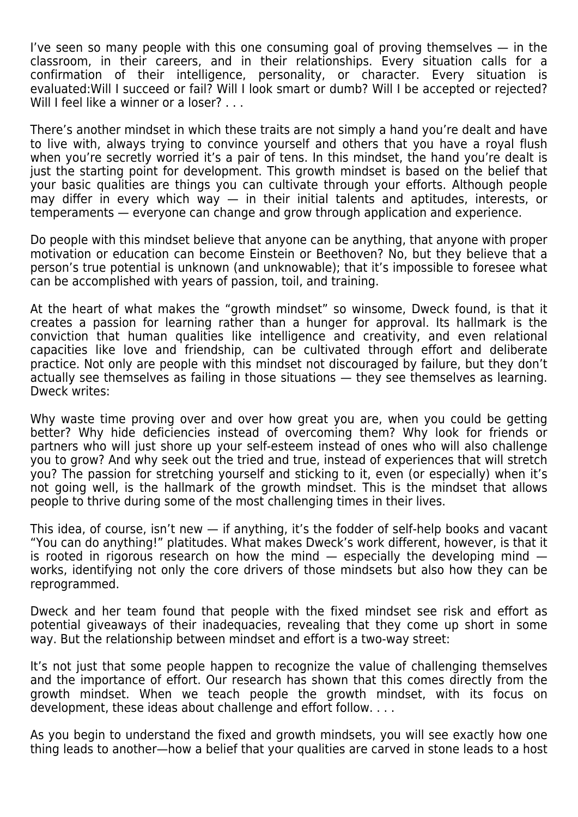I've seen so many people with this one consuming goal of proving themselves — in the classroom, in their careers, and in their relationships. Every situation calls for a confirmation of their intelligence, personality, or character. Every situation is evaluated:Will I succeed or fail? Will I look smart or dumb? Will I be accepted or rejected? Will I feel like a winner or a loser? . . .

There's another mindset in which these traits are not simply a hand you're dealt and have to live with, always trying to convince yourself and others that you have a royal flush when you're secretly worried it's a pair of tens. In this mindset, the hand you're dealt is just the starting point for development. This growth mindset is based on the belief that your basic qualities are things you can cultivate through your efforts. Although people may differ in every which way — in their initial talents and aptitudes, interests, or temperaments — everyone can change and grow through application and experience.

Do people with this mindset believe that anyone can be anything, that anyone with proper motivation or education can become Einstein or Beethoven? No, but they believe that a person's true potential is unknown (and unknowable); that it's impossible to foresee what can be accomplished with years of passion, toil, and training.

At the heart of what makes the "growth mindset" so winsome, Dweck found, is that it creates a passion for learning rather than a hunger for approval. Its hallmark is the conviction that human qualities like intelligence and creativity, and even relational capacities like love and friendship, can be cultivated through effort and deliberate practice. Not only are people with this mindset not discouraged by failure, but they don't actually see themselves as failing in those situations — they see themselves as learning. Dweck writes:

Why waste time proving over and over how great you are, when you could be getting better? Why hide deficiencies instead of overcoming them? Why look for friends or partners who will just shore up your self-esteem instead of ones who will also challenge you to grow? And why seek out the tried and true, instead of experiences that will stretch you? The passion for stretching yourself and sticking to it, even (or especially) when it's not going well, is the hallmark of the growth mindset. This is the mindset that allows people to thrive during some of the most challenging times in their lives.

This idea, of course, isn't new — if anything, it's the fodder of self-help books and vacant "You can do anything!" platitudes. What makes Dweck's work different, however, is that it is rooted in rigorous research on how the mind  $-$  especially the developing mind  $$ works, identifying not only the core drivers of those mindsets but also how they can be reprogrammed.

Dweck and her team found that people with the fixed mindset see risk and effort as potential giveaways of their inadequacies, revealing that they come up short in some way. But the relationship between mindset and effort is a two-way street:

It's not just that some people happen to recognize the value of challenging themselves and the importance of effort. Our research has shown that this comes directly from the growth mindset. When we teach people the growth mindset, with its focus on development, these ideas about challenge and effort follow. . . .

As you begin to understand the fixed and growth mindsets, you will see exactly how one thing leads to another—how a belief that your qualities are carved in stone leads to a host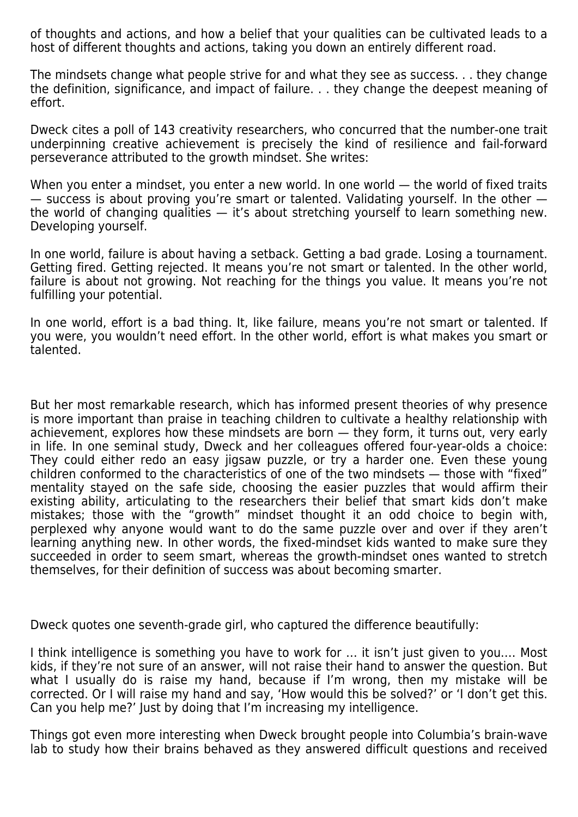of thoughts and actions, and how a belief that your qualities can be cultivated leads to a host of different thoughts and actions, taking you down an entirely different road.

The mindsets change what people strive for and what they see as success. . . they change the definition, significance, and impact of failure. . . they change the deepest meaning of effort.

Dweck cites a poll of 143 creativity researchers, who concurred that the number-one trait underpinning creative achievement is precisely the kind of resilience and fail-forward perseverance attributed to the growth mindset. She writes:

When you enter a mindset, you enter a new world. In one world — the world of fixed traits — success is about proving you're smart or talented. Validating yourself. In the other the world of changing qualities — it's about stretching yourself to learn something new. Developing yourself.

In one world, failure is about having a setback. Getting a bad grade. Losing a tournament. Getting fired. Getting rejected. It means you're not smart or talented. In the other world, failure is about not growing. Not reaching for the things you value. It means you're not fulfilling your potential.

In one world, effort is a bad thing. It, like failure, means you're not smart or talented. If you were, you wouldn't need effort. In the other world, effort is what makes you smart or talented.

But her most remarkable research, which has informed present theories of why presence is more important than praise in teaching children to cultivate a healthy relationship with achievement, explores how these mindsets are born — they form, it turns out, very early in life. In one seminal study, Dweck and her colleagues offered four-year-olds a choice: They could either redo an easy jigsaw puzzle, or try a harder one. Even these young children conformed to the characteristics of one of the two mindsets — those with "fixed" mentality stayed on the safe side, choosing the easier puzzles that would affirm their existing ability, articulating to the researchers their belief that smart kids don't make mistakes; those with the "growth" mindset thought it an odd choice to begin with, perplexed why anyone would want to do the same puzzle over and over if they aren't learning anything new. In other words, the fixed-mindset kids wanted to make sure they succeeded in order to seem smart, whereas the growth-mindset ones wanted to stretch themselves, for their definition of success was about becoming smarter.

Dweck quotes one seventh-grade girl, who captured the difference beautifully:

I think intelligence is something you have to work for … it isn't just given to you.… Most kids, if they're not sure of an answer, will not raise their hand to answer the question. But what I usually do is raise my hand, because if I'm wrong, then my mistake will be corrected. Or I will raise my hand and say, 'How would this be solved?' or 'I don't get this. Can you help me?' Just by doing that I'm increasing my intelligence.

Things got even more interesting when Dweck brought people into Columbia's brain-wave lab to study how their brains behaved as they answered difficult questions and received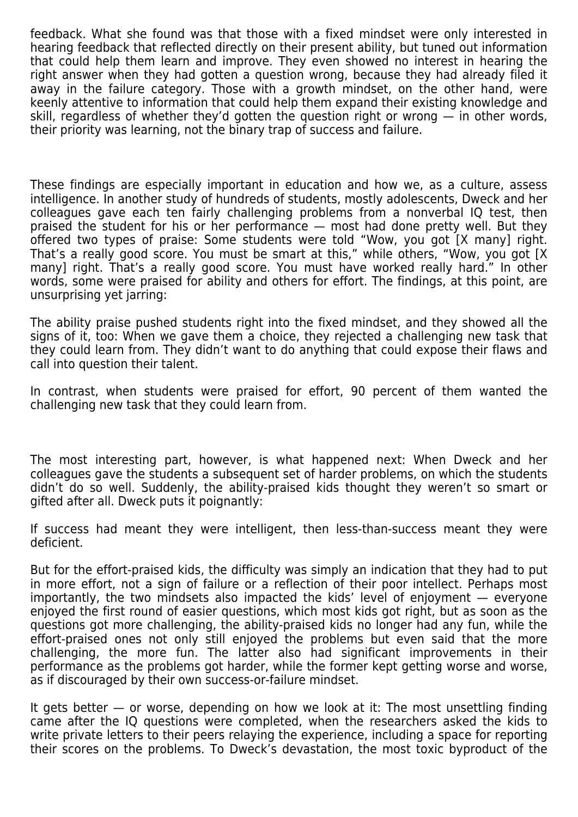feedback. What she found was that those with a fixed mindset were only interested in hearing feedback that reflected directly on their present ability, but tuned out information that could help them learn and improve. They even showed no interest in hearing the right answer when they had gotten a question wrong, because they had already filed it away in the failure category. Those with a growth mindset, on the other hand, were keenly attentive to information that could help them expand their existing knowledge and skill, regardless of whether they'd gotten the question right or wrong — in other words, their priority was learning, not the binary trap of success and failure.

These findings are especially important in education and how we, as a culture, assess intelligence. In another study of hundreds of students, mostly adolescents, Dweck and her colleagues gave each ten fairly challenging problems from a nonverbal IQ test, then praised the student for his or her performance — most had done pretty well. But they offered two types of praise: Some students were told "Wow, you got [X many] right. That's a really good score. You must be smart at this," while others, "Wow, you got [X many] right. That's a really good score. You must have worked really hard." In other words, some were praised for ability and others for effort. The findings, at this point, are unsurprising yet jarring:

The ability praise pushed students right into the fixed mindset, and they showed all the signs of it, too: When we gave them a choice, they rejected a challenging new task that they could learn from. They didn't want to do anything that could expose their flaws and call into question their talent.

In contrast, when students were praised for effort, 90 percent of them wanted the challenging new task that they could learn from.

The most interesting part, however, is what happened next: When Dweck and her colleagues gave the students a subsequent set of harder problems, on which the students didn't do so well. Suddenly, the ability-praised kids thought they weren't so smart or gifted after all. Dweck puts it poignantly:

If success had meant they were intelligent, then less-than-success meant they were deficient.

But for the effort-praised kids, the difficulty was simply an indication that they had to put in more effort, not a sign of failure or a reflection of their poor intellect. Perhaps most importantly, the two mindsets also impacted the kids' level of enjoyment — everyone enjoyed the first round of easier questions, which most kids got right, but as soon as the questions got more challenging, the ability-praised kids no longer had any fun, while the effort-praised ones not only still enjoyed the problems but even said that the more challenging, the more fun. The latter also had significant improvements in their performance as the problems got harder, while the former kept getting worse and worse, as if discouraged by their own success-or-failure mindset.

It gets better  $-$  or worse, depending on how we look at it: The most unsettling finding came after the IQ questions were completed, when the researchers asked the kids to write private letters to their peers relaying the experience, including a space for reporting their scores on the problems. To Dweck's devastation, the most toxic byproduct of the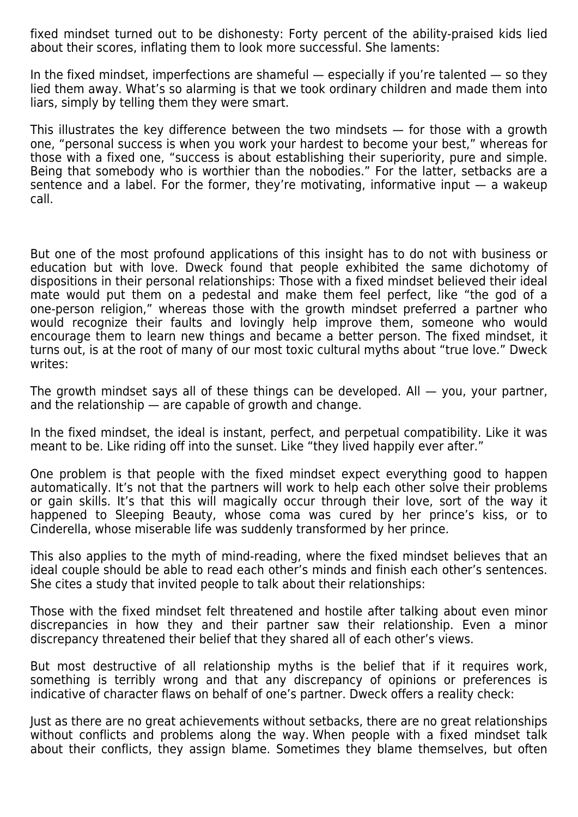fixed mindset turned out to be dishonesty: Forty percent of the ability-praised kids lied about their scores, inflating them to look more successful. She laments:

In the fixed mindset, imperfections are shameful  $-$  especially if you're talented  $-$  so they lied them away. What's so alarming is that we took ordinary children and made them into liars, simply by telling them they were smart.

This illustrates the key difference between the two mindsets — for those with a growth one, "personal success is when you work your hardest to become your best," whereas for those with a fixed one, "success is about establishing their superiority, pure and simple. Being that somebody who is worthier than the nobodies." For the latter, setbacks are a sentence and a label. For the former, they're motivating, informative input  $-$  a wakeup call.

But one of the most profound applications of this insight has to do not with business or education but with love. Dweck found that people exhibited the same dichotomy of dispositions in their personal relationships: Those with a fixed mindset believed their ideal mate would put them on a pedestal and make them feel perfect, like "the god of a one-person religion," whereas those with the growth mindset preferred a partner who would recognize their faults and lovingly help improve them, someone who would encourage them to learn new things and became a better person. The fixed mindset, it turns out, is at the root of many of our most toxic cultural myths about "true love." Dweck writes:

The growth mindset says all of these things can be developed. All  $-$  you, your partner, and the relationship — are capable of growth and change.

In the fixed mindset, the ideal is instant, perfect, and perpetual compatibility. Like it was meant to be. Like riding off into the sunset. Like "they lived happily ever after."

One problem is that people with the fixed mindset expect everything good to happen automatically. It's not that the partners will work to help each other solve their problems or gain skills. It's that this will magically occur through their love, sort of the way it happened to Sleeping Beauty, whose coma was cured by her prince's kiss, or to Cinderella, whose miserable life was suddenly transformed by her prince.

This also applies to the myth of mind-reading, where the fixed mindset believes that an ideal couple should be able to read each other's minds and finish each other's sentences. She cites a study that invited people to talk about their relationships:

Those with the fixed mindset felt threatened and hostile after talking about even minor discrepancies in how they and their partner saw their relationship. Even a minor discrepancy threatened their belief that they shared all of each other's views.

But most destructive of all relationship myths is the belief that if it requires work, something is terribly wrong and that any discrepancy of opinions or preferences is indicative of character flaws on behalf of one's partner. Dweck offers a reality check:

Just as there are no great achievements without setbacks, there are no great relationships without conflicts and problems along the way. When people with a fixed mindset talk about their conflicts, they assign blame. Sometimes they blame themselves, but often